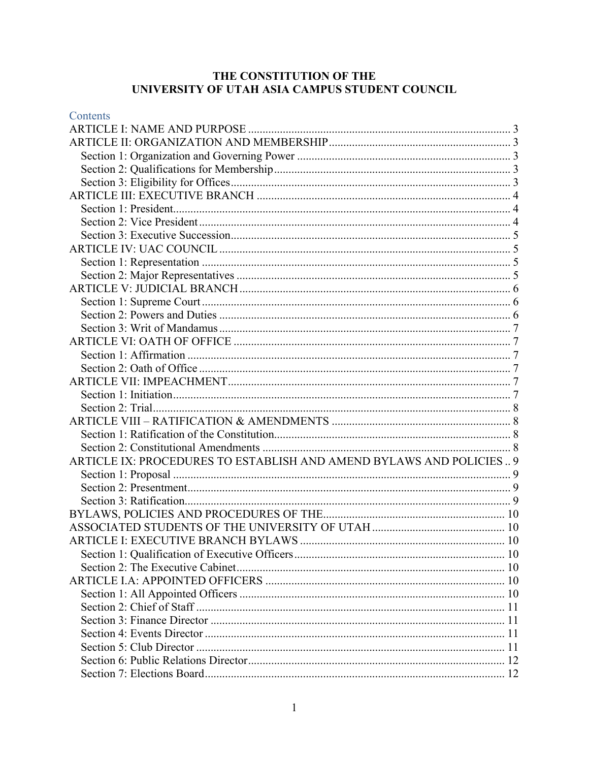# THE CONSTITUTION OF THE UNIVERSITY OF UTAH ASIA CAMPUS STUDENT COUNCIL

| Contents                                                            |  |
|---------------------------------------------------------------------|--|
|                                                                     |  |
|                                                                     |  |
|                                                                     |  |
|                                                                     |  |
|                                                                     |  |
|                                                                     |  |
|                                                                     |  |
|                                                                     |  |
|                                                                     |  |
|                                                                     |  |
|                                                                     |  |
|                                                                     |  |
|                                                                     |  |
|                                                                     |  |
|                                                                     |  |
|                                                                     |  |
|                                                                     |  |
|                                                                     |  |
|                                                                     |  |
|                                                                     |  |
|                                                                     |  |
|                                                                     |  |
|                                                                     |  |
|                                                                     |  |
|                                                                     |  |
| ARTICLE IX: PROCEDURES TO ESTABLISH AND AMEND BYLAWS AND POLICIES 9 |  |
|                                                                     |  |
|                                                                     |  |
|                                                                     |  |
|                                                                     |  |
|                                                                     |  |
|                                                                     |  |
|                                                                     |  |
|                                                                     |  |
|                                                                     |  |
|                                                                     |  |
|                                                                     |  |
|                                                                     |  |
|                                                                     |  |
|                                                                     |  |
|                                                                     |  |
|                                                                     |  |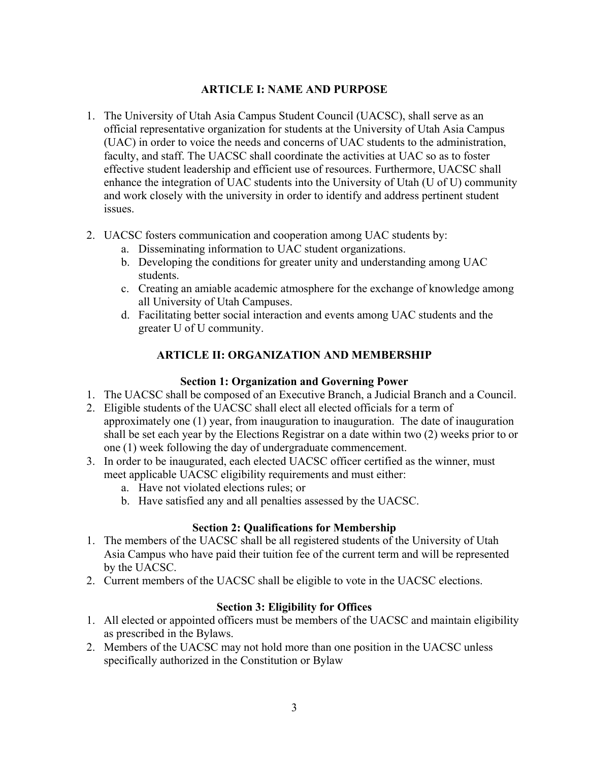## **ARTICLE I: NAME AND PURPOSE**

- <span id="page-2-0"></span>1. The University of Utah Asia Campus Student Council (UACSC), shall serve as an official representative organization for students at the University of Utah Asia Campus (UAC) in order to voice the needs and concerns of UAC students to the administration, faculty, and staff. The UACSC shall coordinate the activities at UAC so as to foster effective student leadership and efficient use of resources. Furthermore, UACSC shall enhance the integration of UAC students into the University of Utah (U of U) community and work closely with the university in order to identify and address pertinent student issues.
- 2. UACSC fosters communication and cooperation among UAC students by:
	- a. Disseminating information to UAC student organizations.
	- b. Developing the conditions for greater unity and understanding among UAC students.
	- c. Creating an amiable academic atmosphere for the exchange of knowledge among all University of Utah Campuses.
	- d. Facilitating better social interaction and events among UAC students and the greater U of U community.

# **ARTICLE II: ORGANIZATION AND MEMBERSHIP**

## **Section 1: Organization and Governing Power**

- <span id="page-2-2"></span><span id="page-2-1"></span>1. The UACSC shall be composed of an Executive Branch, a Judicial Branch and a Council.
- 2. Eligible students of the UACSC shall elect all elected officials for a term of approximately one (1) year, from inauguration to inauguration. The date of inauguration shall be set each year by the Elections Registrar on a date within two (2) weeks prior to or one (1) week following the day of undergraduate commencement.
- 3. In order to be inaugurated, each elected UACSC officer certified as the winner, must meet applicable UACSC eligibility requirements and must either:
	- a. Have not violated elections rules; or
	- b. Have satisfied any and all penalties assessed by the UACSC.

## **Section 2: Qualifications for Membership**

- <span id="page-2-3"></span>1. The members of the UACSC shall be all registered students of the University of Utah Asia Campus who have paid their tuition fee of the current term and will be represented by the UACSC.
- 2. Current members of the UACSC shall be eligible to vote in the UACSC elections.

## **Section 3: Eligibility for Offices**

- <span id="page-2-4"></span>1. All elected or appointed officers must be members of the UACSC and maintain eligibility as prescribed in the Bylaws.
- 2. Members of the UACSC may not hold more than one position in the UACSC unless specifically authorized in the Constitution or Bylaw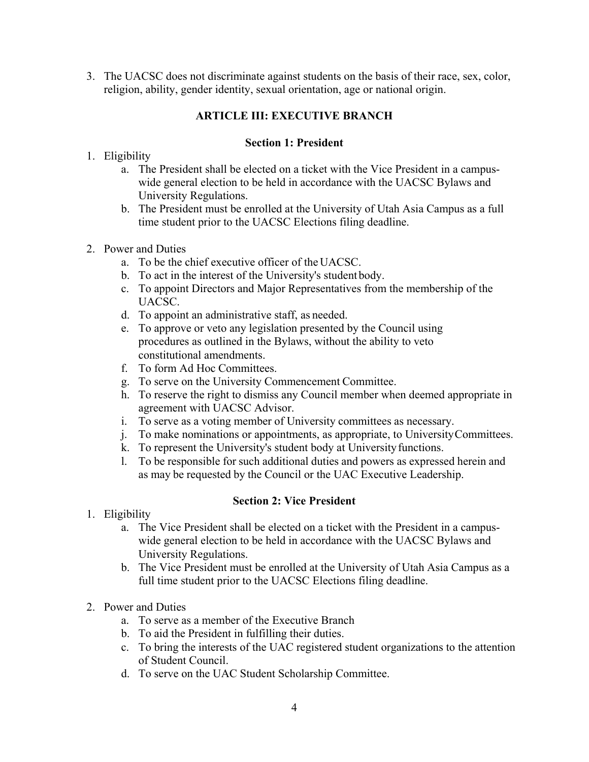<span id="page-3-0"></span>3. The UACSC does not discriminate against students on the basis of their race, sex, color, religion, ability, gender identity, sexual orientation, age or national origin.

# **ARTICLE III: EXECUTIVE BRANCH**

### **Section 1: President**

- <span id="page-3-1"></span>1. Eligibility
	- a. The President shall be elected on a ticket with the Vice President in a campuswide general election to be held in accordance with the UACSC Bylaws and University Regulations.
	- b. The President must be enrolled at the University of Utah Asia Campus as a full time student prior to the UACSC Elections filing deadline.
- 2. Power and Duties
	- a. To be the chief executive officer of the UACSC.
	- b. To act in the interest of the University's student body.
	- c. To appoint Directors and Major Representatives from the membership of the UACSC.
	- d. To appoint an administrative staff, as needed.
	- e. To approve or veto any legislation presented by the Council using procedures as outlined in the Bylaws, without the ability to veto constitutional amendments.
	- f. To form Ad Hoc Committees.
	- g. To serve on the University Commencement Committee.
	- h. To reserve the right to dismiss any Council member when deemed appropriate in agreement with UACSC Advisor.
	- i. To serve as a voting member of University committees as necessary.
	- j. To make nominations or appointments, as appropriate, to UniversityCommittees.
	- k. To represent the University's student body at Universityfunctions.
	- l. To be responsible for such additional duties and powers as expressed herein and as may be requested by the Council or the UAC Executive Leadership.

## **Section 2: Vice President**

- <span id="page-3-2"></span>1. Eligibility
	- a. The Vice President shall be elected on a ticket with the President in a campuswide general election to be held in accordance with the UACSC Bylaws and University Regulations.
	- b. The Vice President must be enrolled at the University of Utah Asia Campus as a full time student prior to the UACSC Elections filing deadline.
- 2. Power and Duties
	- a. To serve as a member of the Executive Branch
	- b. To aid the President in fulfilling their duties.
	- c. To bring the interests of the UAC registered student organizations to the attention of Student Council.
	- d. To serve on the UAC Student Scholarship Committee.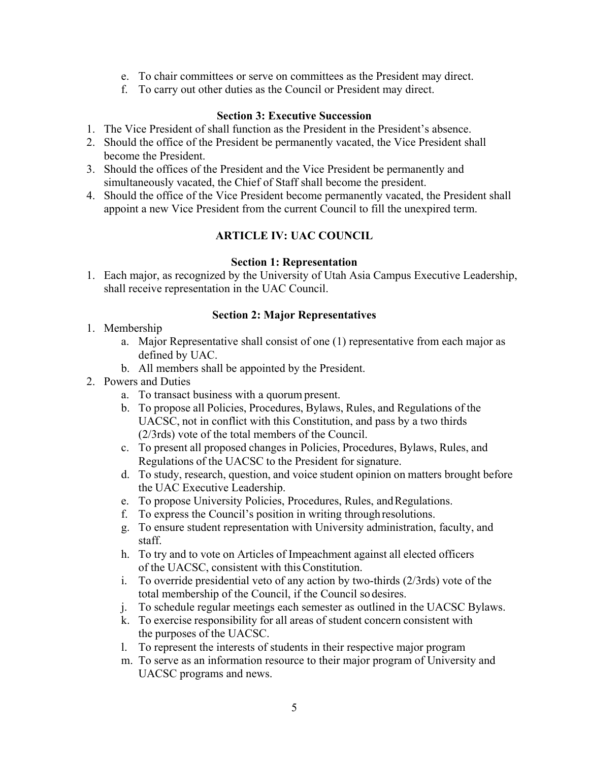- e. To chair committees or serve on committees as the President may direct.
- f. To carry out other duties as the Council or President may direct.

### **Section 3: Executive Succession**

- <span id="page-4-0"></span>1. The Vice President of shall function as the President in the President's absence.
- 2. Should the office of the President be permanently vacated, the Vice President shall become the President.
- 3. Should the offices of the President and the Vice President be permanently and simultaneously vacated, the Chief of Staff shall become the president.
- <span id="page-4-1"></span>4. Should the office of the Vice President become permanently vacated, the President shall appoint a new Vice President from the current Council to fill the unexpired term.

# **ARTICLE IV: UAC COUNCIL**

### **Section 1: Representation**

<span id="page-4-2"></span>1. Each major, as recognized by the University of Utah Asia Campus Executive Leadership, shall receive representation in the UAC Council.

### **Section 2: Major Representatives**

- <span id="page-4-3"></span>1. Membership
	- a. Major Representative shall consist of one (1) representative from each major as defined by UAC.
	- b. All members shall be appointed by the President.
- 2. Powers and Duties
	- a. To transact business with a quorum present.
	- b. To propose all Policies, Procedures, Bylaws, Rules, and Regulations of the UACSC, not in conflict with this Constitution, and pass by a two thirds (2/3rds) vote of the total members of the Council.
	- c. To present all proposed changes in Policies, Procedures, Bylaws, Rules, and Regulations of the UACSC to the President for signature.
	- d. To study, research, question, and voice student opinion on matters brought before the UAC Executive Leadership.
	- e. To propose University Policies, Procedures, Rules, and Regulations.
	- f. To express the Council's position in writing throughresolutions.
	- g. To ensure student representation with University administration, faculty, and staff.
	- h. To try and to vote on Articles of Impeachment against all elected officers of the UACSC, consistent with thisConstitution.
	- i. To override presidential veto of any action by two-thirds (2/3rds) vote of the total membership of the Council, if the Council so desires.
	- j. To schedule regular meetings each semester as outlined in the UACSC Bylaws.
	- k. To exercise responsibility for all areas of student concern consistent with the purposes of the UACSC.
	- l. To represent the interests of students in their respective major program
	- m. To serve as an information resource to their major program of University and UACSC programs and news.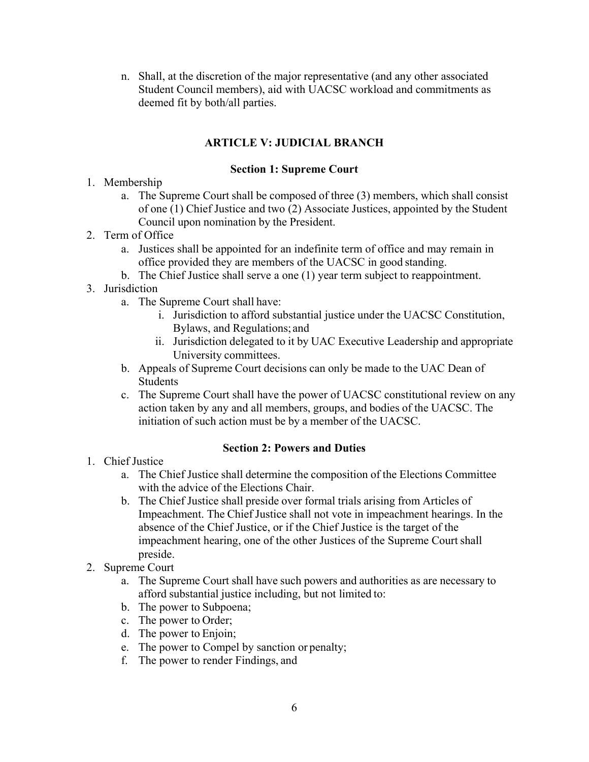n. Shall, at the discretion of the major representative (and any other associated Student Council members), aid with UACSC workload and commitments as deemed fit by both/all parties.

# **ARTICLE V: JUDICIAL BRANCH**

### **Section 1: Supreme Court**

- <span id="page-5-1"></span><span id="page-5-0"></span>1. Membership
	- a. The Supreme Court shall be composed of three (3) members, which shall consist of one (1) Chief Justice and two (2) Associate Justices, appointed by the Student Council upon nomination by the President.
- 2. Term of Office
	- a. Justices shall be appointed for an indefinite term of office and may remain in office provided they are members of the UACSC in good standing.
	- b. The Chief Justice shall serve a one (1) year term subject to reappointment.
- 3. Jurisdiction
	- a. The Supreme Court shall have:
		- i. Jurisdiction to afford substantial justice under the UACSC Constitution, Bylaws, and Regulations; and
		- ii. Jurisdiction delegated to it by UAC Executive Leadership and appropriate University committees.
	- b. Appeals of Supreme Court decisions can only be made to the UAC Dean of Students
	- c. The Supreme Court shall have the power of UACSC constitutional review on any action taken by any and all members, groups, and bodies of the UACSC. The initiation of such action must be by a member of the UACSC.

#### **Section 2: Powers and Duties**

- <span id="page-5-2"></span>1. Chief Justice
	- a. The Chief Justice shall determine the composition of the Elections Committee with the advice of the Elections Chair.
	- b. The Chief Justice shall preside over formal trials arising from Articles of Impeachment. The Chief Justice shall not vote in impeachment hearings. In the absence of the Chief Justice, or if the Chief Justice is the target of the impeachment hearing, one of the other Justices of the Supreme Court shall preside.
- 2. Supreme Court
	- a. The Supreme Court shall have such powers and authorities as are necessary to afford substantial justice including, but not limited to:
	- b. The power to Subpoena;
	- c. The power to Order;
	- d. The power to Enjoin;
	- e. The power to Compel by sanction or penalty;
	- f. The power to render Findings, and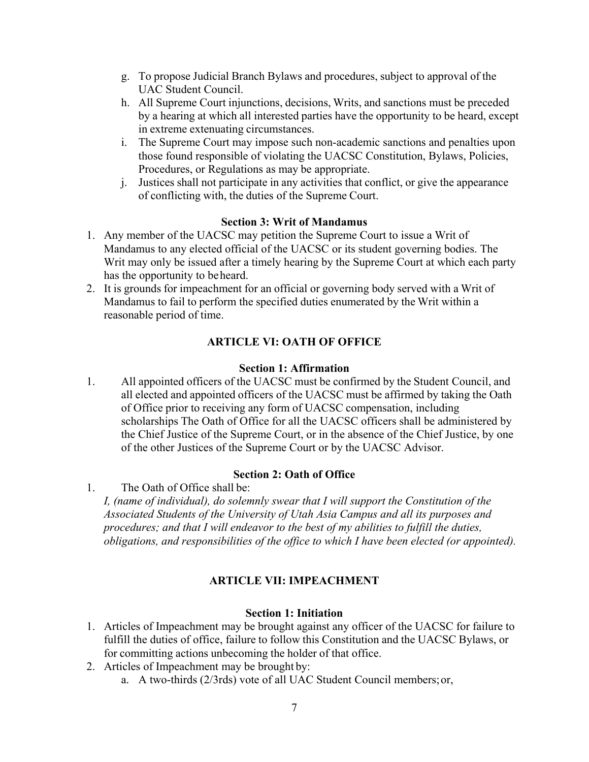- g. To propose Judicial Branch Bylaws and procedures, subject to approval of the UAC Student Council.
- h. All Supreme Court injunctions, decisions, Writs, and sanctions must be preceded by a hearing at which all interested parties have the opportunity to be heard, except in extreme extenuating circumstances.
- i. The Supreme Court may impose such non-academic sanctions and penalties upon those found responsible of violating the UACSC Constitution, Bylaws, Policies, Procedures, or Regulations as may be appropriate.
- j. Justices shall not participate in any activities that conflict, or give the appearance of conflicting with, the duties of the Supreme Court.

### **Section 3: Writ of Mandamus**

- <span id="page-6-0"></span>1. Any member of the UACSC may petition the Supreme Court to issue a Writ of Mandamus to any elected official of the UACSC or its student governing bodies. The Writ may only be issued after a timely hearing by the Supreme Court at which each party has the opportunity to beheard.
- 2. It is grounds for impeachment for an official or governing body served with a Writ of Mandamus to fail to perform the specified duties enumerated by the Writ within a reasonable period of time.

## **ARTICLE VI: OATH OF OFFICE**

#### **Section 1: Affirmation**

<span id="page-6-2"></span><span id="page-6-1"></span>1. All appointed officers of the UACSC must be confirmed by the Student Council, and all elected and appointed officers of the UACSC must be affirmed by taking the Oath of Office prior to receiving any form of UACSC compensation, including scholarships The Oath of Office for all the UACSC officers shall be administered by the Chief Justice of the Supreme Court, or in the absence of the Chief Justice, by one of the other Justices of the Supreme Court or by the UACSC Advisor.

#### **Section 2: Oath of Office**

<span id="page-6-3"></span>1. The Oath of Office shall be:

*I, (name of individual), do solemnly swear that I will support the Constitution of the Associated Students of the University of Utah Asia Campus and all its purposes and procedures; and that I will endeavor to the best of my abilities to fulfill the duties, obligations, and responsibilities of the office to which I have been elected (or appointed).*

#### **ARTICLE VII: IMPEACHMENT**

#### **Section 1: Initiation**

- <span id="page-6-5"></span><span id="page-6-4"></span>1. Articles of Impeachment may be brought against any officer of the UACSC for failure to fulfill the duties of office, failure to follow this Constitution and the UACSC Bylaws, or for committing actions unbecoming the holder of that office.
- 2. Articles of Impeachment may be brought by:
	- a. A two-thirds (2/3rds) vote of all UAC Student Council members;or,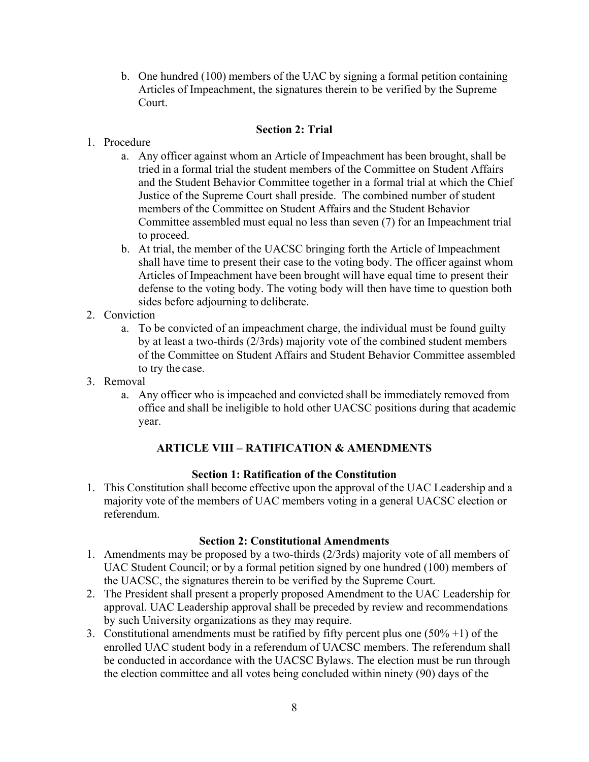b. One hundred (100) members of the UAC by signing a formal petition containing Articles of Impeachment, the signatures therein to be verified by the Supreme Court.

### **Section 2: Trial**

- <span id="page-7-0"></span>1. Procedure
	- a. Any officer against whom an Article of Impeachment has been brought, shall be tried in a formal trial the student members of the Committee on Student Affairs and the Student Behavior Committee together in a formal trial at which the Chief Justice of the Supreme Court shall preside. The combined number of student members of the Committee on Student Affairs and the Student Behavior Committee assembled must equal no less than seven (7) for an Impeachment trial to proceed.
	- b. At trial, the member of the UACSC bringing forth the Article of Impeachment shall have time to present their case to the voting body. The officer against whom Articles of Impeachment have been brought will have equal time to present their defense to the voting body. The voting body will then have time to question both sides before adjourning to deliberate.
- 2. Conviction
	- a. To be convicted of an impeachment charge, the individual must be found guilty by at least a two-thirds (2/3rds) majority vote of the combined student members of the Committee on Student Affairs and Student Behavior Committee assembled to try the case.
- 3. Removal
	- a. Any officer who is impeached and convicted shall be immediately removed from office and shall be ineligible to hold other UACSC positions during that academic year.

## **ARTICLE VIII – RATIFICATION & AMENDMENTS**

### **Section 1: Ratification of the Constitution**

<span id="page-7-2"></span><span id="page-7-1"></span>1. This Constitution shall become effective upon the approval of the UAC Leadership and a majority vote of the members of UAC members voting in a general UACSC election or referendum.

#### **Section 2: Constitutional Amendments**

- <span id="page-7-3"></span>1. Amendments may be proposed by a two-thirds (2/3rds) majority vote of all members of UAC Student Council; or by a formal petition signed by one hundred (100) members of the UACSC, the signatures therein to be verified by the Supreme Court.
- 2. The President shall present a properly proposed Amendment to the UAC Leadership for approval. UAC Leadership approval shall be preceded by review and recommendations by such University organizations as they may require.
- 3. Constitutional amendments must be ratified by fifty percent plus one  $(50\% +1)$  of the enrolled UAC student body in a referendum of UACSC members. The referendum shall be conducted in accordance with the UACSC Bylaws. The election must be run through the election committee and all votes being concluded within ninety (90) days of the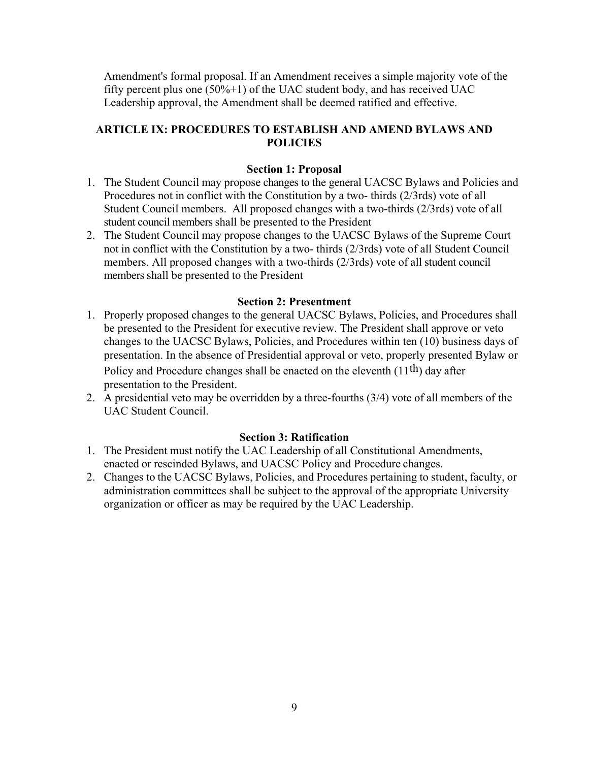Amendment's formal proposal. If an Amendment receives a simple majority vote of the fifty percent plus one  $(50\% + 1)$  of the UAC student body, and has received UAC Leadership approval, the Amendment shall be deemed ratified and effective.

# <span id="page-8-0"></span>**ARTICLE IX: PROCEDURES TO ESTABLISH AND AMEND BYLAWS AND POLICIES**

### **Section 1: Proposal**

- <span id="page-8-1"></span>1. The Student Council may propose changes to the general UACSC Bylaws and Policies and Procedures not in conflict with the Constitution by a two- thirds (2/3rds) vote of all Student Council members. All proposed changes with a two-thirds (2/3rds) vote of all student council members shall be presented to the President
- 2. The Student Council may propose changes to the UACSC Bylaws of the Supreme Court not in conflict with the Constitution by a two- thirds (2/3rds) vote of all Student Council members. All proposed changes with a two-thirds (2/3rds) vote of all student council members shall be presented to the President

#### **Section 2: Presentment**

<span id="page-8-2"></span>1. Properly proposed changes to the general UACSC Bylaws, Policies, and Procedures shall be presented to the President for executive review. The President shall approve or veto changes to the UACSC Bylaws, Policies, and Procedures within ten (10) business days of presentation. In the absence of Presidential approval or veto, properly presented Bylaw or

Policy and Procedure changes shall be enacted on the eleventh (11<sup>th</sup>) day after presentation to the President.

2. A presidential veto may be overridden by a three-fourths (3/4) vote of all members of the UAC Student Council.

#### **Section 3: Ratification**

- <span id="page-8-3"></span>1. The President must notify the UAC Leadership of all Constitutional Amendments, enacted or rescinded Bylaws, and UACSC Policy and Procedure changes.
- 2. Changes to the UACSC Bylaws, Policies, and Procedures pertaining to student, faculty, or administration committees shall be subject to the approval of the appropriate University organization or officer as may be required by the UAC Leadership.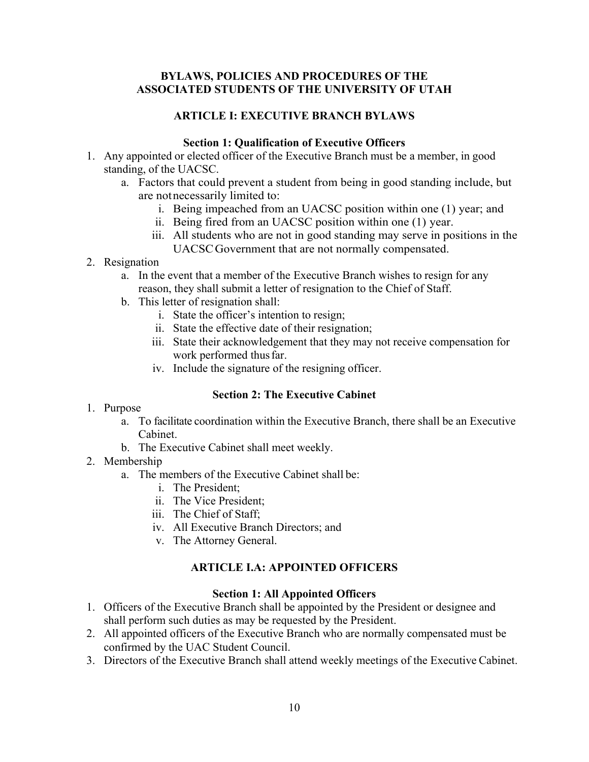### <span id="page-9-1"></span><span id="page-9-0"></span>**BYLAWS, POLICIES AND PROCEDURES OF THE ASSOCIATED STUDENTS OF THE UNIVERSITY OF UTAH**

### **ARTICLE I: EXECUTIVE BRANCH BYLAWS**

#### **Section 1: Qualification of Executive Officers**

- <span id="page-9-3"></span><span id="page-9-2"></span>1. Any appointed or elected officer of the Executive Branch must be a member, in good standing, of the UACSC.
	- a. Factors that could prevent a student from being in good standing include, but are notnecessarily limited to:
		- i. Being impeached from an UACSC position within one (1) year; and
		- ii. Being fired from an UACSC position within one (1) year.
		- iii. All students who are not in good standing may serve in positions in the UACSCGovernment that are not normally compensated.
- 2. Resignation

a. In the event that a member of the Executive Branch wishes to resign for any reason, they shall submit a letter of resignation to the Chief of Staff.

- b. This letter of resignation shall:
	- i. State the officer's intention to resign;
	- ii. State the effective date of their resignation;
	- iii. State their acknowledgement that they may not receive compensation for work performed thus far.
	- iv. Include the signature of the resigning officer.

## **Section 2: The Executive Cabinet**

- <span id="page-9-4"></span>1. Purpose
	- a. To facilitate coordination within the Executive Branch, there shall be an Executive Cabinet.
	- b. The Executive Cabinet shall meet weekly.
- 2. Membership
	- a. The members of the Executive Cabinet shall be:
		- i. The President;
		- ii. The Vice President;
		- iii. The Chief of Staff;
		- iv. All Executive Branch Directors; and
		- v. The Attorney General.

## **ARTICLE I.A: APPOINTED OFFICERS**

#### **Section 1: All Appointed Officers**

- <span id="page-9-6"></span><span id="page-9-5"></span>1. Officers of the Executive Branch shall be appointed by the President or designee and shall perform such duties as may be requested by the President.
- 2. All appointed officers of the Executive Branch who are normally compensated must be confirmed by the UAC Student Council.
- 3. Directors of the Executive Branch shall attend weekly meetings of the Executive Cabinet.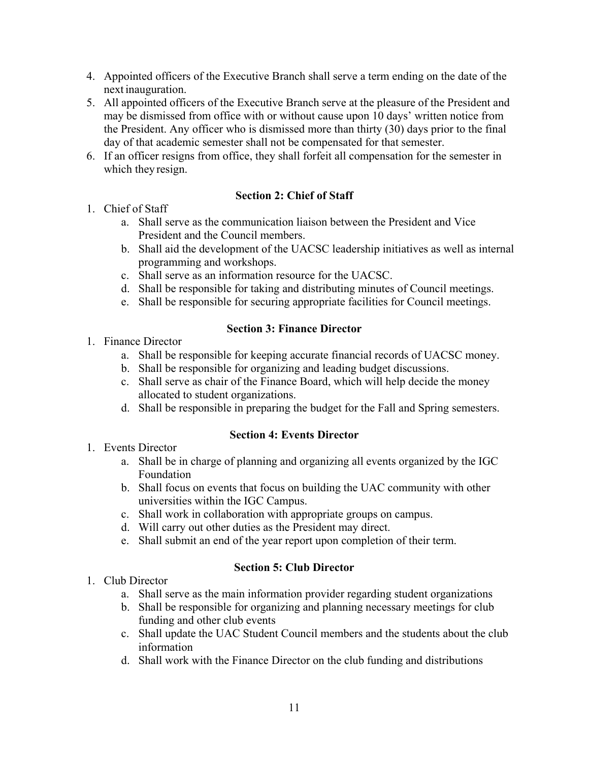- 4. Appointed officers of the Executive Branch shall serve a term ending on the date of the next inauguration.
- 5. All appointed officers of the Executive Branch serve at the pleasure of the President and may be dismissed from office with or without cause upon 10 days' written notice from the President. Any officer who is dismissed more than thirty (30) days prior to the final day of that academic semester shall not be compensated for that semester.
- 6. If an officer resigns from office, they shall forfeit all compensation for the semester in which they resign.

## **Section 2: Chief of Staff**

- <span id="page-10-0"></span>1. Chief of Staff
	- a. Shall serve as the communication liaison between the President and Vice President and the Council members.
	- b. Shall aid the development of the UACSC leadership initiatives as well as internal programming and workshops.
	- c. Shall serve as an information resource for the UACSC.
	- d. Shall be responsible for taking and distributing minutes of Council meetings.
	- e. Shall be responsible for securing appropriate facilities for Council meetings.

## **Section 3: Finance Director**

- <span id="page-10-1"></span>1. Finance Director
	- a. Shall be responsible for keeping accurate financial records of UACSC money.
	- b. Shall be responsible for organizing and leading budget discussions.
	- c. Shall serve as chair of the Finance Board, which will help decide the money allocated to student organizations.
	- d. Shall be responsible in preparing the budget for the Fall and Spring semesters.

## **Section 4: Events Director**

- <span id="page-10-2"></span>1. Events Director
	- a. Shall be in charge of planning and organizing all events organized by the IGC Foundation
	- b. Shall focus on events that focus on building the UAC community with other universities within the IGC Campus.
	- c. Shall work in collaboration with appropriate groups on campus.
	- d. Will carry out other duties as the President may direct.
	- e. Shall submit an end of the year report upon completion of their term.

# **Section 5: Club Director**

- <span id="page-10-3"></span>1. Club Director
	- a. Shall serve as the main information provider regarding student organizations
	- b. Shall be responsible for organizing and planning necessary meetings for club funding and other club events
	- c. Shall update the UAC Student Council members and the students about the club information
	- d. Shall work with the Finance Director on the club funding and distributions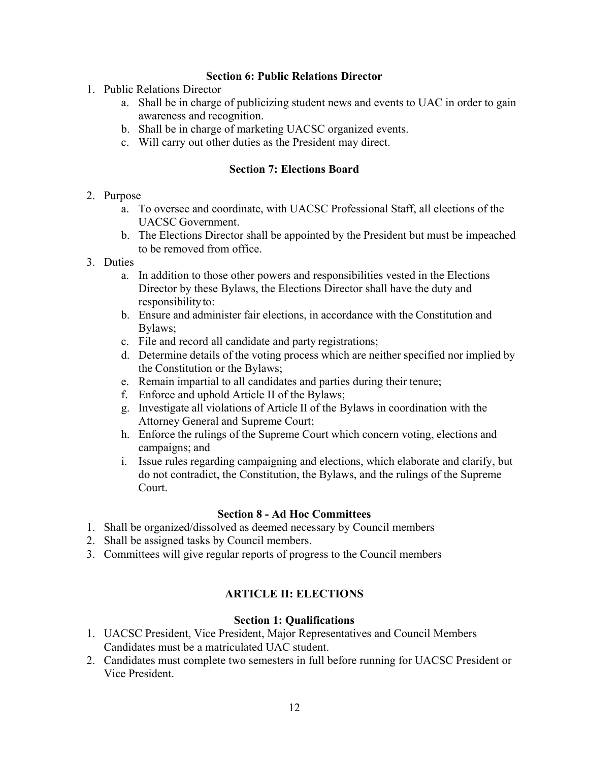### **Section 6: Public Relations Director**

- <span id="page-11-0"></span>1. Public Relations Director
	- a. Shall be in charge of publicizing student news and events to UAC in order to gain awareness and recognition.
	- b. Shall be in charge of marketing UACSC organized events.
	- c. Will carry out other duties as the President may direct.

### **Section 7: Elections Board**

#### <span id="page-11-1"></span>2. Purpose

- a. To oversee and coordinate, with UACSC Professional Staff, all elections of the UACSC Government.
- b. The Elections Director shall be appointed by the President but must be impeached to be removed from office.

#### 3. Duties

- a. In addition to those other powers and responsibilities vested in the Elections Director by these Bylaws, the Elections Director shall have the duty and responsibilityto:
- b. Ensure and administer fair elections, in accordance with the Constitution and Bylaws;
- c. File and record all candidate and party registrations;
- d. Determine details of the voting process which are neither specified nor implied by the Constitution or the Bylaws;
- e. Remain impartial to all candidates and parties during their tenure;
- f. Enforce and uphold Article II of the Bylaws;
- g. Investigate all violations of Article II of the Bylaws in coordination with the Attorney General and Supreme Court;
- h. Enforce the rulings of the Supreme Court which concern voting, elections and campaigns; and
- i. Issue rules regarding campaigning and elections, which elaborate and clarify, but do not contradict, the Constitution, the Bylaws, and the rulings of the Supreme Court.

## **Section 8 - Ad Hoc Committees**

- <span id="page-11-2"></span>1. Shall be organized/dissolved as deemed necessary by Council members
- 2. Shall be assigned tasks by Council members.
- <span id="page-11-3"></span>3. Committees will give regular reports of progress to the Council members

# **ARTICLE II: ELECTIONS**

#### **Section 1: Qualifications**

- <span id="page-11-4"></span>1. UACSC President, Vice President, Major Representatives and Council Members Candidates must be a matriculated UAC student.
- 2. Candidates must complete two semesters in full before running for UACSC President or Vice President.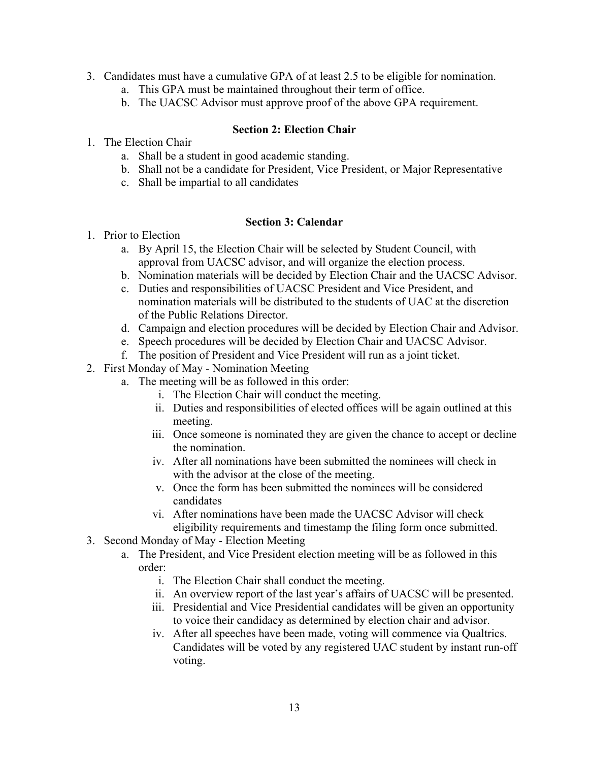- 3. Candidates must have a cumulative GPA of at least 2.5 to be eligible for nomination.
	- a. This GPA must be maintained throughout their term of office.
	- b. The UACSC Advisor must approve proof of the above GPA requirement.

### **Section 2: Election Chair**

- <span id="page-12-0"></span>1. The Election Chair
	- a. Shall be a student in good academic standing.
	- b. Shall not be a candidate for President, Vice President, or Major Representative
	- c. Shall be impartial to all candidates

#### **Section 3: Calendar**

- <span id="page-12-1"></span>1. Prior to Election
	- a. By April 15, the Election Chair will be selected by Student Council, with approval from UACSC advisor, and will organize the election process.
	- b. Nomination materials will be decided by Election Chair and the UACSC Advisor.
	- c. Duties and responsibilities of UACSC President and Vice President, and nomination materials will be distributed to the students of UAC at the discretion of the Public Relations Director.
	- d. Campaign and election procedures will be decided by Election Chair and Advisor.
	- e. Speech procedures will be decided by Election Chair and UACSC Advisor.
	- f. The position of President and Vice President will run as a joint ticket.
- 2. First Monday of May Nomination Meeting
	- a. The meeting will be as followed in this order:
		- i. The Election Chair will conduct the meeting.
		- ii. Duties and responsibilities of elected offices will be again outlined at this meeting.
		- iii. Once someone is nominated they are given the chance to accept or decline the nomination.
		- iv. After all nominations have been submitted the nominees will check in with the advisor at the close of the meeting.
		- v. Once the form has been submitted the nominees will be considered candidates
		- vi. After nominations have been made the UACSC Advisor will check eligibility requirements and timestamp the filing form once submitted.
- 3. Second Monday of May Election Meeting
	- a. The President, and Vice President election meeting will be as followed in this order:
		- i. The Election Chair shall conduct the meeting.
		- ii. An overview report of the last year's affairs of UACSC will be presented.
		- iii. Presidential and Vice Presidential candidates will be given an opportunity to voice their candidacy as determined by election chair and advisor.
		- iv. After all speeches have been made, voting will commence via Qualtrics. Candidates will be voted by any registered UAC student by instant run-off voting.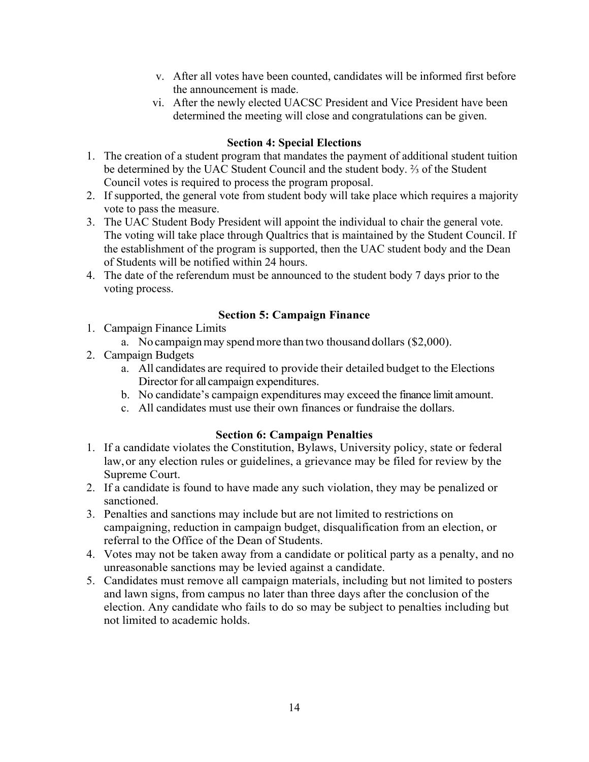- v. After all votes have been counted, candidates will be informed first before the announcement is made.
- vi. After the newly elected UACSC President and Vice President have been determined the meeting will close and congratulations can be given.

### **Section 4: Special Elections**

- <span id="page-13-0"></span>1. The creation of a student program that mandates the payment of additional student tuition be determined by the UAC Student Council and the student body. ⅔ of the Student Council votes is required to process the program proposal.
- 2. If supported, the general vote from student body will take place which requires a majority vote to pass the measure.
- 3. The UAC Student Body President will appoint the individual to chair the general vote. The voting will take place through Qualtrics that is maintained by the Student Council. If the establishment of the program is supported, then the UAC student body and the Dean of Students will be notified within 24 hours.
- 4. The date of the referendum must be announced to the student body 7 days prior to the voting process.

### **Section 5: Campaign Finance**

- <span id="page-13-1"></span>1. Campaign Finance Limits
	- a. No campaignmay spendmore than two thousand dollars (\$2,000).
- 2. Campaign Budgets
	- a. All candidates are required to provide their detailed budget to the Elections Director for all campaign expenditures.
	- b. No candidate's campaign expenditures may exceed the finance limit amount.
	- c. All candidates must use their own finances or fundraise the dollars.

## **Section 6: Campaign Penalties**

- <span id="page-13-2"></span>1. If a candidate violates the Constitution, Bylaws, University policy, state or federal law,or any election rules or guidelines, a grievance may be filed for review by the Supreme Court.
- 2. If a candidate is found to have made any such violation, they may be penalized or sanctioned.
- 3. Penalties and sanctions may include but are not limited to restrictions on campaigning, reduction in campaign budget, disqualification from an election, or referral to the Office of the Dean of Students.
- 4. Votes may not be taken away from a candidate or political party as a penalty, and no unreasonable sanctions may be levied against a candidate.
- 5. Candidates must remove all campaign materials, including but not limited to posters and lawn signs, from campus no later than three days after the conclusion of the election. Any candidate who fails to do so may be subject to penalties including but not limited to academic holds.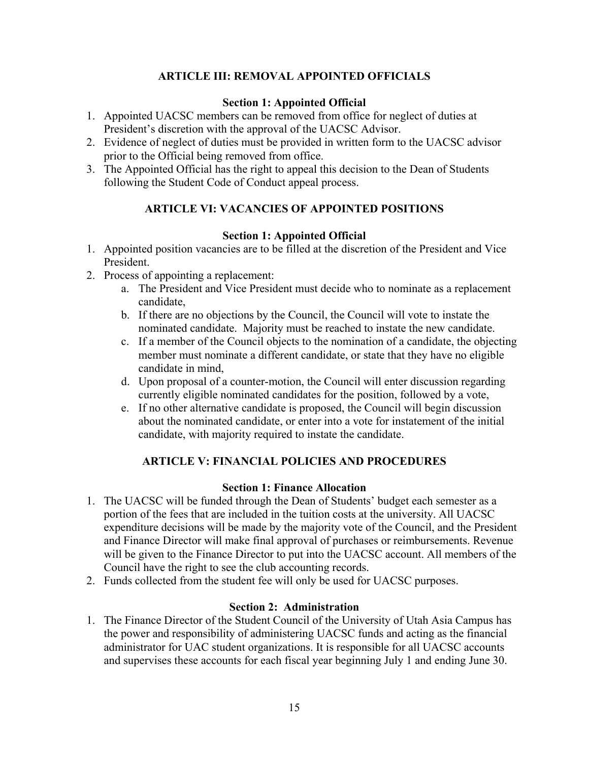# **ARTICLE III: REMOVAL APPOINTED OFFICIALS**

### **Section 1: Appointed Official**

- <span id="page-14-1"></span><span id="page-14-0"></span>1. Appointed UACSC members can be removed from office for neglect of duties at President's discretion with the approval of the UACSC Advisor.
- 2. Evidence of neglect of duties must be provided in written form to the UACSC advisor prior to the Official being removed from office.
- <span id="page-14-2"></span>3. The Appointed Official has the right to appeal this decision to the Dean of Students following the Student Code of Conduct appeal process.

# **ARTICLE VI: VACANCIES OF APPOINTED POSITIONS**

### **Section 1: Appointed Official**

- <span id="page-14-3"></span>1. Appointed position vacancies are to be filled at the discretion of the President and Vice President.
- 2. Process of appointing a replacement:
	- a. The President and Vice President must decide who to nominate as a replacement candidate,
	- b. If there are no objections by the Council, the Council will vote to instate the nominated candidate. Majority must be reached to instate the new candidate.
	- c. If a member of the Council objects to the nomination of a candidate, the objecting member must nominate a different candidate, or state that they have no eligible candidate in mind,
	- d. Upon proposal of a counter-motion, the Council will enter discussion regarding currently eligible nominated candidates for the position, followed by a vote,
	- e. If no other alternative candidate is proposed, the Council will begin discussion about the nominated candidate, or enter into a vote for instatement of the initial candidate, with majority required to instate the candidate.

## **ARTICLE V: FINANCIAL POLICIES AND PROCEDURES**

#### **Section 1: Finance Allocation**

- <span id="page-14-5"></span><span id="page-14-4"></span>1. The UACSC will be funded through the Dean of Students' budget each semester as a portion of the fees that are included in the tuition costs at the university. All UACSC expenditure decisions will be made by the majority vote of the Council, and the President and Finance Director will make final approval of purchases or reimbursements. Revenue will be given to the Finance Director to put into the UACSC account. All members of the Council have the right to see the club accounting records.
- 2. Funds collected from the student fee will only be used for UACSC purposes.

#### **Section 2: Administration**

<span id="page-14-6"></span>1. The Finance Director of the Student Council of the University of Utah Asia Campus has the power and responsibility of administering UACSC funds and acting as the financial administrator for UAC student organizations. It is responsible for all UACSC accounts and supervises these accounts for each fiscal year beginning July 1 and ending June 30.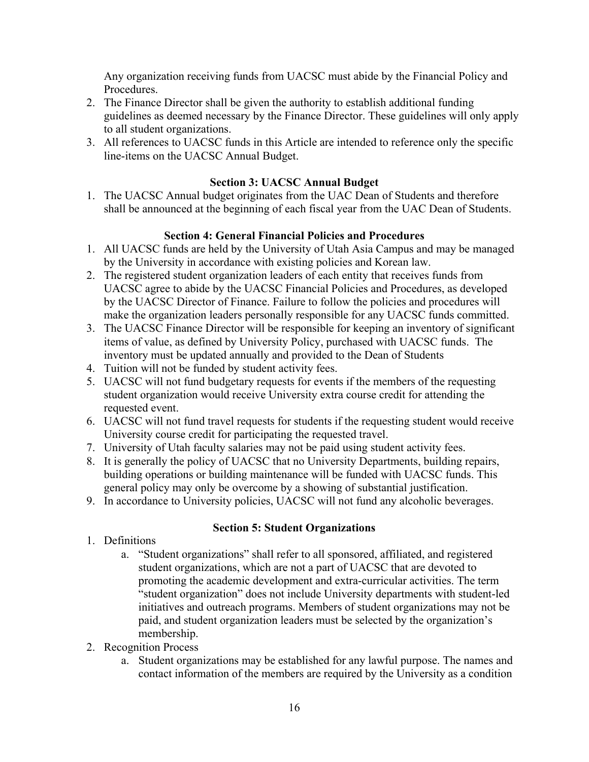Any organization receiving funds from UACSC must abide by the Financial Policy and Procedures.

- 2. The Finance Director shall be given the authority to establish additional funding guidelines as deemed necessary by the Finance Director. These guidelines will only apply to all student organizations.
- 3. All references to UACSC funds in this Article are intended to reference only the specific line-items on the UACSC Annual Budget.

# **Section 3: UACSC Annual Budget**

<span id="page-15-0"></span>1. The UACSC Annual budget originates from the UAC Dean of Students and therefore shall be announced at the beginning of each fiscal year from the UAC Dean of Students.

# **Section 4: General Financial Policies and Procedures**

- <span id="page-15-1"></span>1. All UACSC funds are held by the University of Utah Asia Campus and may be managed by the University in accordance with existing policies and Korean law.
- 2. The registered student organization leaders of each entity that receives funds from UACSC agree to abide by the UACSC Financial Policies and Procedures, as developed by the UACSC Director of Finance. Failure to follow the policies and procedures will make the organization leaders personally responsible for any UACSC funds committed.
- 3. The UACSC Finance Director will be responsible for keeping an inventory of significant items of value, as defined by University Policy, purchased with UACSC funds. The inventory must be updated annually and provided to the Dean of Students
- 4. Tuition will not be funded by student activity fees.
- 5. UACSC will not fund budgetary requests for events if the members of the requesting student organization would receive University extra course credit for attending the requested event.
- 6. UACSC will not fund travel requests for students if the requesting student would receive University course credit for participating the requested travel.
- 7. University of Utah faculty salaries may not be paid using student activity fees.
- 8. It is generally the policy of UACSC that no University Departments, building repairs, building operations or building maintenance will be funded with UACSC funds. This general policy may only be overcome by a showing of substantial justification.
- 9. In accordance to University policies, UACSC will not fund any alcoholic beverages.

## **Section 5: Student Organizations**

- <span id="page-15-2"></span>1. Definitions
	- a. "Student organizations" shall refer to all sponsored, affiliated, and registered student organizations, which are not a part of UACSC that are devoted to promoting the academic development and extra-curricular activities. The term "student organization" does not include University departments with student-led initiatives and outreach programs. Members of student organizations may not be paid, and student organization leaders must be selected by the organization's membership.
- 2. Recognition Process
	- a. Student organizations may be established for any lawful purpose. The names and contact information of the members are required by the University as a condition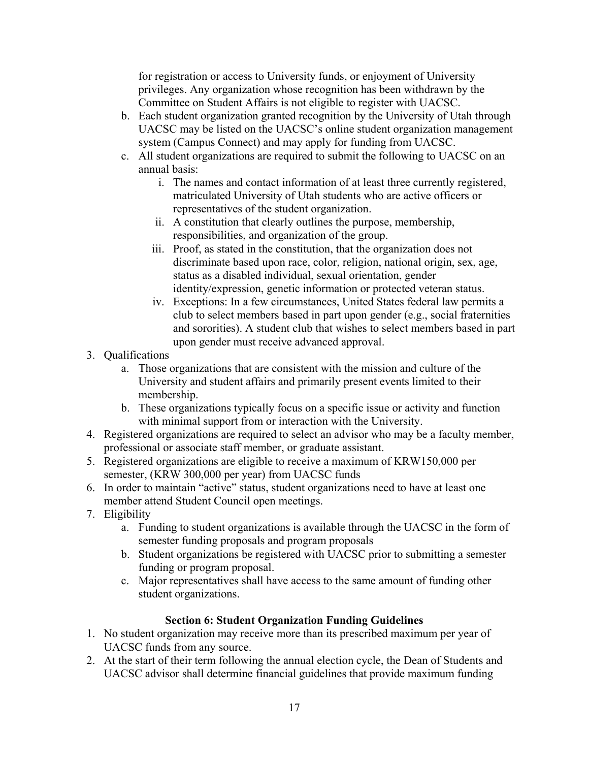for registration or access to University funds, or enjoyment of University privileges. Any organization whose recognition has been withdrawn by the Committee on Student Affairs is not eligible to register with UACSC.

- b. Each student organization granted recognition by the University of Utah through UACSC may be listed on the UACSC's online student organization management system (Campus Connect) and may apply for funding from UACSC.
- c. All student organizations are required to submit the following to UACSC on an annual basis:
	- i. The names and contact information of at least three currently registered, matriculated University of Utah students who are active officers or representatives of the student organization.
	- ii. A constitution that clearly outlines the purpose, membership, responsibilities, and organization of the group.
	- iii. Proof, as stated in the constitution, that the organization does not discriminate based upon race, color, religion, national origin, sex, age, status as a disabled individual, sexual orientation, gender identity/expression, genetic information or protected veteran status.
	- iv. Exceptions: In a few circumstances, United States federal law permits a club to select members based in part upon gender (e.g., social fraternities and sororities). A student club that wishes to select members based in part upon gender must receive advanced approval.
- 3. Qualifications
	- a. Those organizations that are consistent with the mission and culture of the University and student affairs and primarily present events limited to their membership.
	- b. These organizations typically focus on a specific issue or activity and function with minimal support from or interaction with the University.
- 4. Registered organizations are required to select an advisor who may be a faculty member, professional or associate staff member, or graduate assistant.
- 5. Registered organizations are eligible to receive a maximum of KRW150,000 per semester, (KRW 300,000 per year) from UACSC funds
- 6. In order to maintain "active" status, student organizations need to have at least one member attend Student Council open meetings.
- 7. Eligibility
	- a. Funding to student organizations is available through the UACSC in the form of semester funding proposals and program proposals
	- b. Student organizations be registered with UACSC prior to submitting a semester funding or program proposal.
	- c. Major representatives shall have access to the same amount of funding other student organizations.

## **Section 6: Student Organization Funding Guidelines**

- <span id="page-16-0"></span>1. No student organization may receive more than its prescribed maximum per year of UACSC funds from any source.
- 2. At the start of their term following the annual election cycle, the Dean of Students and UACSC advisor shall determine financial guidelines that provide maximum funding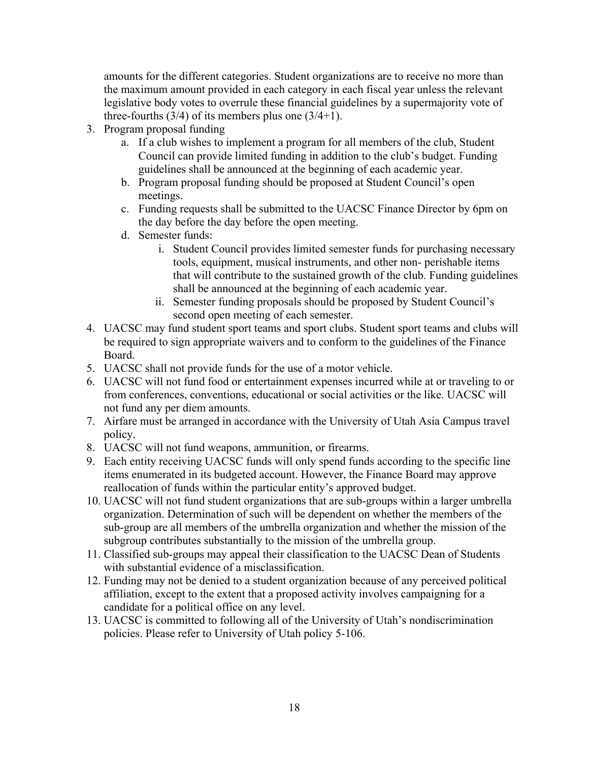amounts for the different categories. Student organizations are to receive no more than the maximum amount provided in each category in each fiscal year unless the relevant legislative body votes to overrule these financial guidelines by a supermajority vote of three-fourths  $(3/4)$  of its members plus one  $(3/4+1)$ .

- 3. Program proposal funding
	- a. If a club wishes to implement a program for all members of the club, Student Council can provide limited funding in addition to the club's budget. Funding guidelines shall be announced at the beginning of each academic year.
	- b. Program proposal funding should be proposed at Student Council's open meetings.
	- c. Funding requests shall be submitted to the UACSC Finance Director by 6pm on the day before the day before the open meeting.
	- d. Semester funds:
		- i. Student Council provides limited semester funds for purchasing necessary tools, equipment, musical instruments, and other non- perishable items that will contribute to the sustained growth of the club. Funding guidelines shall be announced at the beginning of each academic year.
		- ii. Semester funding proposals should be proposed by Student Council's second open meeting of each semester.
- 4. UACSC may fund student sport teams and sport clubs. Student sport teams and clubs will be required to sign appropriate waivers and to conform to the guidelines of the Finance Board.
- 5. UACSC shall not provide funds for the use of a motor vehicle.
- 6. UACSC will not fund food or entertainment expenses incurred while at or traveling to or from conferences, conventions, educational or social activities or the like. UACSC will not fund any per diem amounts.
- 7. Airfare must be arranged in accordance with the University of Utah Asia Campus travel policy.
- 8. UACSC will not fund weapons, ammunition, or firearms.
- 9. Each entity receiving UACSC funds will only spend funds according to the specific line items enumerated in its budgeted account. However, the Finance Board may approve reallocation of funds within the particular entity's approved budget.
- 10. UACSC will not fund student organizations that are sub-groups within a larger umbrella organization. Determination of such will be dependent on whether the members of the sub-group are all members of the umbrella organization and whether the mission of the subgroup contributes substantially to the mission of the umbrella group.
- 11. Classified sub-groups may appeal their classification to the UACSC Dean of Students with substantial evidence of a misclassification.
- 12. Funding may not be denied to a student organization because of any perceived political affiliation, except to the extent that a proposed activity involves campaigning for a candidate for a political office on any level.
- 13. UACSC is committed to following all of the University of Utah's nondiscrimination policies. Please refer to University of Utah policy 5-106.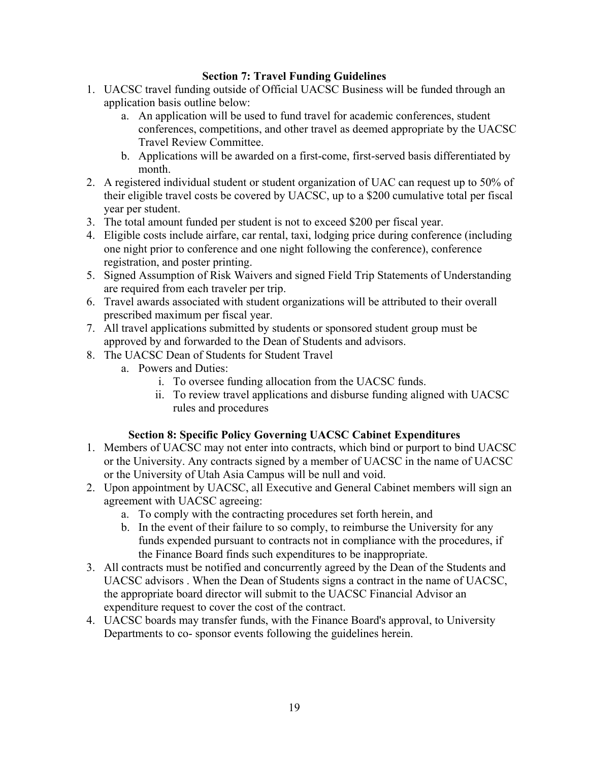### **Section 7: Travel Funding Guidelines**

- <span id="page-18-0"></span>1. UACSC travel funding outside of Official UACSC Business will be funded through an application basis outline below:
	- a. An application will be used to fund travel for academic conferences, student conferences, competitions, and other travel as deemed appropriate by the UACSC Travel Review Committee.
	- b. Applications will be awarded on a first-come, first-served basis differentiated by month.
- 2. A registered individual student or student organization of UAC can request up to 50% of their eligible travel costs be covered by UACSC, up to a \$200 cumulative total per fiscal year per student.
- 3. The total amount funded per student is not to exceed \$200 per fiscal year.
- 4. Eligible costs include airfare, car rental, taxi, lodging price during conference (including one night prior to conference and one night following the conference), conference registration, and poster printing.
- 5. Signed Assumption of Risk Waivers and signed Field Trip Statements of Understanding are required from each traveler per trip.
- 6. Travel awards associated with student organizations will be attributed to their overall prescribed maximum per fiscal year.
- 7. All travel applications submitted by students or sponsored student group must be approved by and forwarded to the Dean of Students and advisors.
- 8. The UACSC Dean of Students for Student Travel
	- a. Powers and Duties:
		- i. To oversee funding allocation from the UACSC funds.
		- ii. To review travel applications and disburse funding aligned with UACSC rules and procedures

#### **Section 8: Specific Policy Governing UACSC Cabinet Expenditures**

- <span id="page-18-1"></span>1. Members of UACSC may not enter into contracts, which bind or purport to bind UACSC or the University. Any contracts signed by a member of UACSC in the name of UACSC or the University of Utah Asia Campus will be null and void.
- 2. Upon appointment by UACSC, all Executive and General Cabinet members will sign an agreement with UACSC agreeing:
	- a. To comply with the contracting procedures set forth herein, and
	- b. In the event of their failure to so comply, to reimburse the University for any funds expended pursuant to contracts not in compliance with the procedures, if the Finance Board finds such expenditures to be inappropriate.
- 3. All contracts must be notified and concurrently agreed by the Dean of the Students and UACSC advisors . When the Dean of Students signs a contract in the name of UACSC, the appropriate board director will submit to the UACSC Financial Advisor an expenditure request to cover the cost of the contract.
- 4. UACSC boards may transfer funds, with the Finance Board's approval, to University Departments to co- sponsor events following the guidelines herein.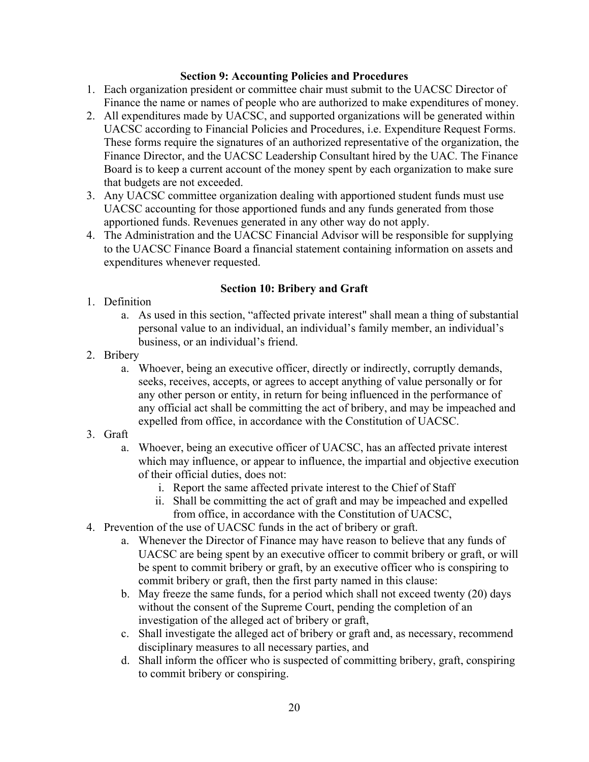#### **Section 9: Accounting Policies and Procedures**

- <span id="page-19-0"></span>1. Each organization president or committee chair must submit to the UACSC Director of Finance the name or names of people who are authorized to make expenditures of money.
- 2. All expenditures made by UACSC, and supported organizations will be generated within UACSC according to Financial Policies and Procedures, i.e. Expenditure Request Forms. These forms require the signatures of an authorized representative of the organization, the Finance Director, and the UACSC Leadership Consultant hired by the UAC. The Finance Board is to keep a current account of the money spent by each organization to make sure that budgets are not exceeded.
- 3. Any UACSC committee organization dealing with apportioned student funds must use UACSC accounting for those apportioned funds and any funds generated from those apportioned funds. Revenues generated in any other way do not apply.
- 4. The Administration and the UACSC Financial Advisor will be responsible for supplying to the UACSC Finance Board a financial statement containing information on assets and expenditures whenever requested.

#### **Section 10: Bribery and Graft**

- <span id="page-19-1"></span>1. Definition
	- a. As used in this section, "affected private interest" shall mean a thing of substantial personal value to an individual, an individual's family member, an individual's business, or an individual's friend.
- 2. Bribery
	- a. Whoever, being an executive officer, directly or indirectly, corruptly demands, seeks, receives, accepts, or agrees to accept anything of value personally or for any other person or entity, in return for being influenced in the performance of any official act shall be committing the act of bribery, and may be impeached and expelled from office, in accordance with the Constitution of UACSC.
- 3. Graft
	- a. Whoever, being an executive officer of UACSC, has an affected private interest which may influence, or appear to influence, the impartial and objective execution of their official duties, does not:
		- i. Report the same affected private interest to the Chief of Staff
		- ii. Shall be committing the act of graft and may be impeached and expelled from office, in accordance with the Constitution of UACSC,
- 4. Prevention of the use of UACSC funds in the act of bribery or graft.
	- a. Whenever the Director of Finance may have reason to believe that any funds of UACSC are being spent by an executive officer to commit bribery or graft, or will be spent to commit bribery or graft, by an executive officer who is conspiring to commit bribery or graft, then the first party named in this clause:
	- b. May freeze the same funds, for a period which shall not exceed twenty (20) days without the consent of the Supreme Court, pending the completion of an investigation of the alleged act of bribery or graft,
	- c. Shall investigate the alleged act of bribery or graft and, as necessary, recommend disciplinary measures to all necessary parties, and
	- d. Shall inform the officer who is suspected of committing bribery, graft, conspiring to commit bribery or conspiring.